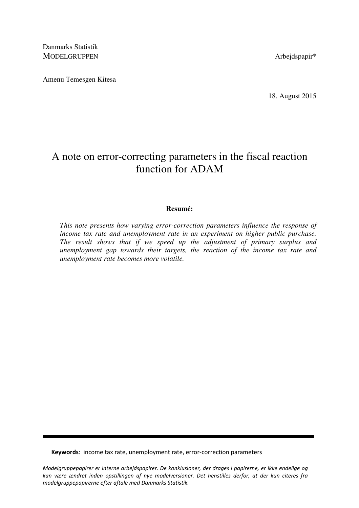Danmarks Statistik MODELGRUPPEN Arbejdspapir\*

Amenu Temesgen Kitesa

18. August 2015

# A note on error-correcting parameters in the fiscal reaction function for ADAM

## **Resumé:**

*This note presents how varying error-correction parameters influence the response of income tax rate and unemployment rate in an experiment on higher public purchase. The result shows that if we speed up the adjustment of primary surplus and unemployment gap towards their targets, the reaction of the income tax rate and unemployment rate becomes more volatile.* 

Keywords: income tax rate, unemployment rate, error-correction parameters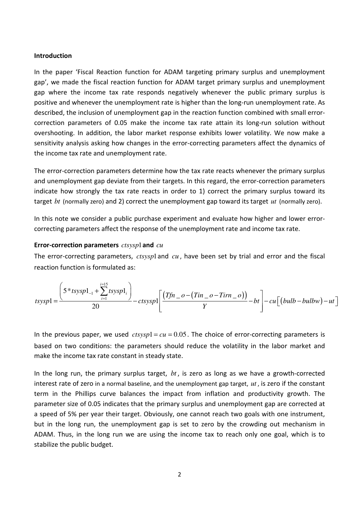#### Introduction

In the paper 'Fiscal Reaction function for ADAM targeting primary surplus and unemployment gap', we made the fiscal reaction function for ADAM target primary surplus and unemployment gap where the income tax rate responds negatively whenever the public primary surplus is positive and whenever the unemployment rate is higher than the long-run unemployment rate. As described, the inclusion of unemployment gap in the reaction function combined with small errorcorrection parameters of 0.05 make the income tax rate attain its long-run solution without overshooting. In addition, the labor market response exhibits lower volatility. We now make a sensitivity analysis asking how changes in the error-correcting parameters affect the dynamics of the income tax rate and unemployment rate.

The error-correction parameters determine how the tax rate reacts whenever the primary surplus and unemployment gap deviate from their targets. In this regard, the error-correction parameters indicate how strongly the tax rate reacts in order to 1) correct the primary surplus toward its target *bt* (normally zero) and 2) correct the unemployment gap toward its target *ut* (normally zero).

In this note we consider a public purchase experiment and evaluate how higher and lower errorcorrecting parameters affect the response of the unemployment rate and income tax rate.

#### Error-correction parameters *ctsysp*1and *cu*

The error-correcting parameters, *ctsysp*1and *cu* , have been set by trial and error and the fiscal reaction function is formulated as:

$$
tsysp1 = \frac{\left(5 * tsysp1_{-1} + \sum_{i=1}^{i=1} tsysp1_i\right)}{20} - ctsysp1 \left[\frac{(Tfn - o - (Tin - o - Tirn - o))}{Y} - bt\right] - cu\left[\left(bulb - bulbw\right) - ut\right]
$$

In the previous paper, we used  $ctsysp1 = cu = 0.05$ . The choice of error-correcting parameters is based on two conditions: the parameters should reduce the volatility in the labor market and make the income tax rate constant in steady state.

In the long run, the primary surplus target, *bt* , is zero as long as we have a growth-corrected interest rate of zero in a normal baseline, and the unemployment gap target, *ut* , is zero if the constant term in the Phillips curve balances the impact from inflation and productivity growth. The parameter size of 0.05 indicates that the primary surplus and unemployment gap are corrected at a speed of 5% per year their target. Obviously, one cannot reach two goals with one instrument, but in the long run, the unemployment gap is set to zero by the crowding out mechanism in ADAM. Thus, in the long run we are using the income tax to reach only one goal, which is to stabilize the public budget.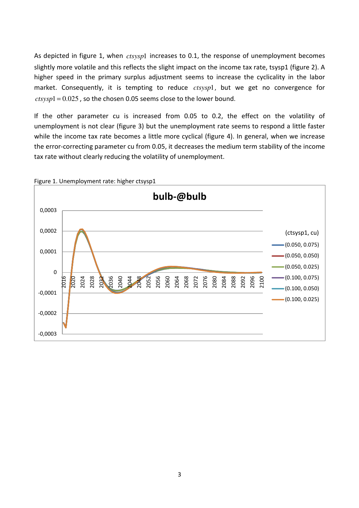As depicted in figure 1, when *ctsysp*1 increases to 0.1, the response of unemployment becomes slightly more volatile and this reflects the slight impact on the income tax rate, tsysp1 (figure 2). A higher speed in the primary surplus adjustment seems to increase the cyclicality in the labor market. Consequently, it is tempting to reduce *ctsysp*1, but we get no convergence for  $ctsysp1 = 0.025$ , so the chosen 0.05 seems close to the lower bound.

If the other parameter cu is increased from 0.05 to 0.2, the effect on the volatility of unemployment is not clear (figure 3) but the unemployment rate seems to respond a little faster while the income tax rate becomes a little more cyclical (figure 4). In general, when we increase the error-correcting parameter cu from 0.05, it decreases the medium term stability of the income tax rate without clearly reducing the volatility of unemployment.



Figure 1. Unemployment rate: higher ctsysp1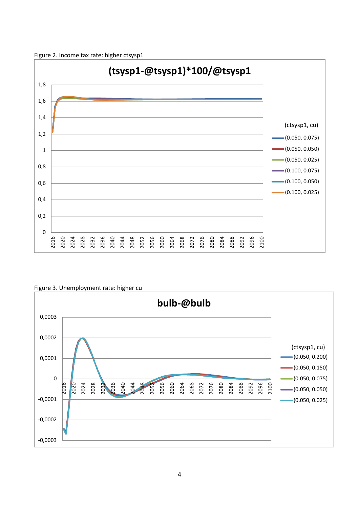



Figure 3. Unemployment rate: higher cu